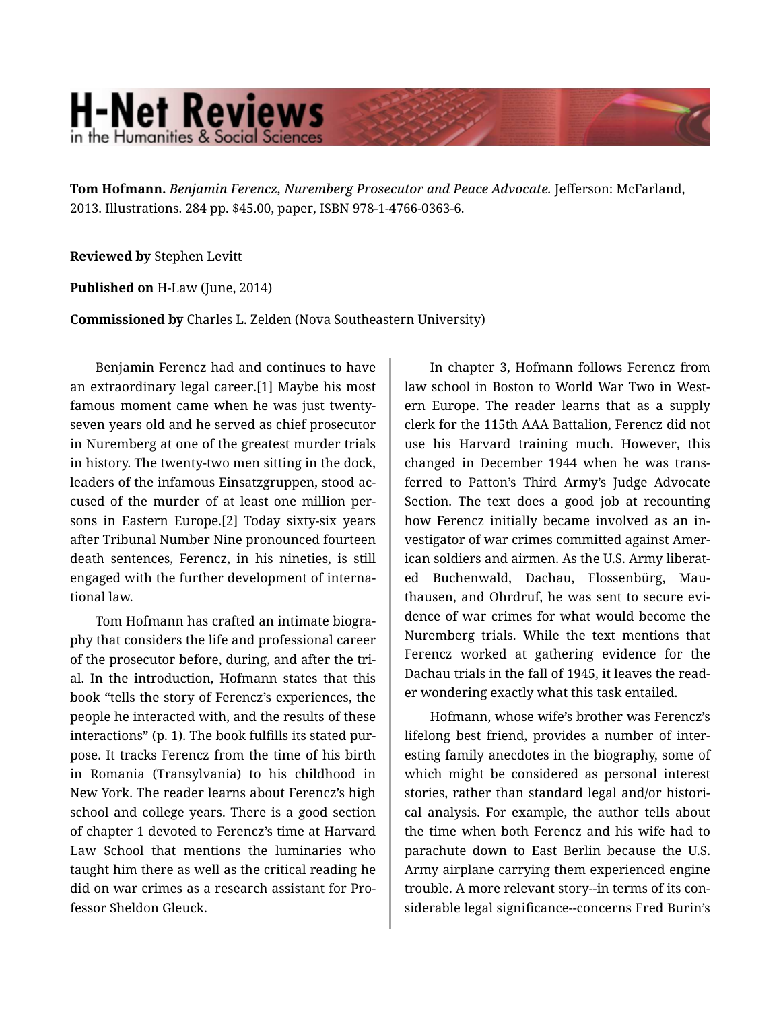## **H-Net Reviews** in the Humanities & Social Scienc

**Tom Hofmann.** *Benjamin Ferencz, Nuremberg Prosecutor and Peace Advocate.* Jefferson: McFarland, 2013. Illustrations. 284 pp. \$45.00, paper, ISBN 978-1-4766-0363-6.

**Reviewed by** Stephen Levitt

**Published on** H-Law (June, 2014)

**Commissioned by** Charles L. Zelden (Nova Southeastern University)

Benjamin Ferencz had and continues to have an extraordinary legal career.[1] Maybe his most famous moment came when he was just twentyseven years old and he served as chief prosecutor in Nuremberg at one of the greatest murder trials in history. The twenty-two men sitting in the dock, leaders of the infamous Einsatzgruppen, stood ac‐ cused of the murder of at least one million per‐ sons in Eastern Europe.[2] Today sixty-six years after Tribunal Number Nine pronounced fourteen death sentences, Ferencz, in his nineties, is still engaged with the further development of interna‐ tional law.

Tom Hofmann has crafted an intimate biogra‐ phy that considers the life and professional career of the prosecutor before, during, and after the tri‐ al. In the introduction, Hofmann states that this book "tells the story of Ferencz's experiences, the people he interacted with, and the results of these interactions" (p. 1). The book fulfills its stated pur‐ pose. It tracks Ferencz from the time of his birth in Romania (Transylvania) to his childhood in New York. The reader learns about Ferencz's high school and college years. There is a good section of chapter 1 devoted to Ferencz's time at Harvard Law School that mentions the luminaries who taught him there as well as the critical reading he did on war crimes as a research assistant for Pro‐ fessor Sheldon Gleuck.

In chapter 3, Hofmann follows Ferencz from law school in Boston to World War Two in West‐ ern Europe. The reader learns that as a supply clerk for the 115th AAA Battalion, Ferencz did not use his Harvard training much. However, this changed in December 1944 when he was trans‐ ferred to Patton's Third Army's Judge Advocate Section. The text does a good job at recounting how Ferencz initially became involved as an in‐ vestigator of war crimes committed against Amer‐ ican soldiers and airmen. As the U.S. Army liberat‐ ed Buchenwald, Dachau, Flossenbürg, Mau‐ thausen, and Ohrdruf, he was sent to secure evi‐ dence of war crimes for what would become the Nuremberg trials. While the text mentions that Ferencz worked at gathering evidence for the Dachau trials in the fall of 1945, it leaves the read‐ er wondering exactly what this task entailed.

Hofmann, whose wife's brother was Ferencz's lifelong best friend, provides a number of inter‐ esting family anecdotes in the biography, some of which might be considered as personal interest stories, rather than standard legal and/or histori‐ cal analysis. For example, the author tells about the time when both Ferencz and his wife had to parachute down to East Berlin because the U.S. Army airplane carrying them experienced engine trouble. A more relevant story--in terms of its con‐ siderable legal significance--concerns Fred Burin's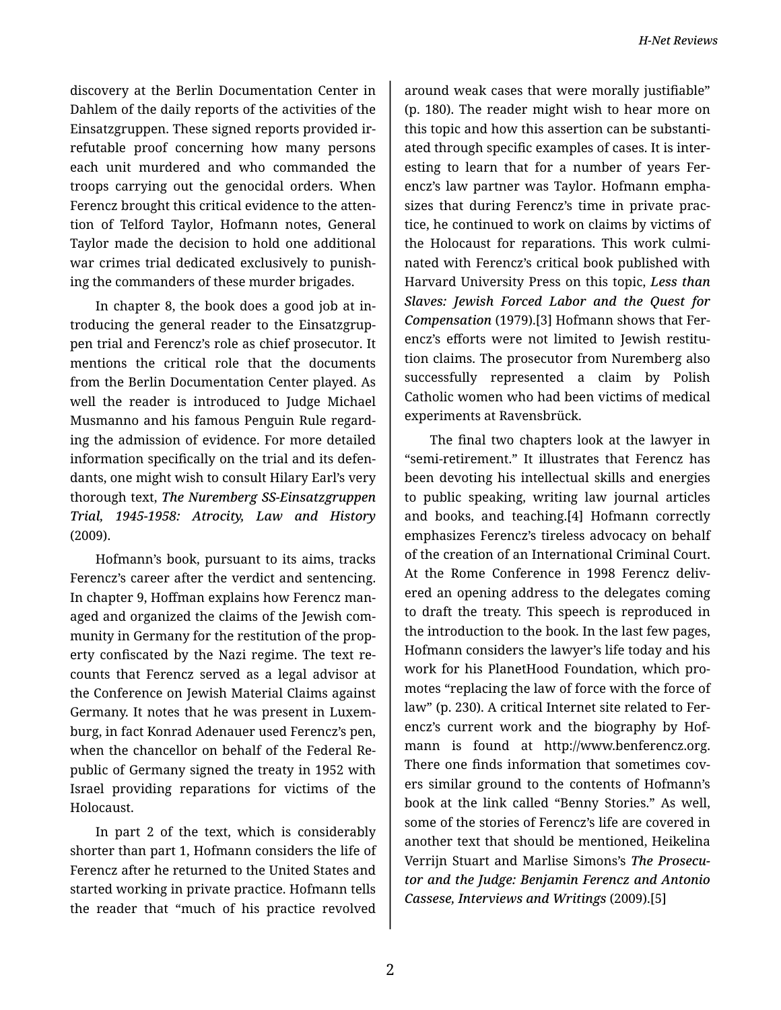discovery at the Berlin Documentation Center in Dahlem of the daily reports of the activities of the Einsatzgruppen. These signed reports provided ir‐ refutable proof concerning how many persons each unit murdered and who commanded the troops carrying out the genocidal orders. When Ferencz brought this critical evidence to the attention of Telford Taylor, Hofmann notes, General Taylor made the decision to hold one additional war crimes trial dedicated exclusively to punish‐ ing the commanders of these murder brigades.

In chapter 8, the book does a good job at in‐ troducing the general reader to the Einsatzgrup‐ pen trial and Ferencz's role as chief prosecutor. It mentions the critical role that the documents from the Berlin Documentation Center played. As well the reader is introduced to Judge Michael Musmanno and his famous Penguin Rule regard‐ ing the admission of evidence. For more detailed information specifically on the trial and its defen‐ dants, one might wish to consult Hilary Earl's very thorough text, *The Nuremberg SS-Einsatzgruppen Trial, 1945-1958: Atrocity, Law and History* (2009).

Hofmann's book, pursuant to its aims, tracks Ferencz's career after the verdict and sentencing. In chapter 9, Hoffman explains how Ferencz man‐ aged and organized the claims of the Jewish com‐ munity in Germany for the restitution of the prop‐ erty confiscated by the Nazi regime. The text re‐ counts that Ferencz served as a legal advisor at the Conference on Jewish Material Claims against Germany. It notes that he was present in Luxem‐ burg, in fact Konrad Adenauer used Ferencz's pen, when the chancellor on behalf of the Federal Re‐ public of Germany signed the treaty in 1952 with Israel providing reparations for victims of the Holocaust.

In part 2 of the text, which is considerably shorter than part 1, Hofmann considers the life of Ferencz after he returned to the United States and started working in private practice. Hofmann tells the reader that "much of his practice revolved

around weak cases that were morally justifiable" (p. 180). The reader might wish to hear more on this topic and how this assertion can be substanti‐ ated through specific examples of cases. It is inter‐ esting to learn that for a number of years Fer‐ encz's law partner was Taylor. Hofmann empha‐ sizes that during Ferencz's time in private prac‐ tice, he continued to work on claims by victims of the Holocaust for reparations. This work culmi‐ nated with Ferencz's critical book published with Harvard University Press on this topic, *Less than Slaves: Jewish Forced Labor and the Quest for Compensation* (1979).[3] Hofmann shows that Fer‐ encz's efforts were not limited to Jewish restitu‐ tion claims. The prosecutor from Nuremberg also successfully represented a claim by Polish Catholic women who had been victims of medical experiments at Ravensbrück.

The final two chapters look at the lawyer in "semi-retirement." It illustrates that Ferencz has been devoting his intellectual skills and energies to public speaking, writing law journal articles and books, and teaching.[4] Hofmann correctly emphasizes Ferencz's tireless advocacy on behalf of the creation of an International Criminal Court. At the Rome Conference in 1998 Ferencz deliv‐ ered an opening address to the delegates coming to draft the treaty. This speech is reproduced in the introduction to the book. In the last few pages, Hofmann considers the lawyer's life today and his work for his PlanetHood Foundation, which pro‐ motes "replacing the law of force with the force of law" (p. 230). A critical Internet site related to Ferencz's current work and the biography by Hof‐ mann is found at http://www.benferencz.org. There one finds information that sometimes cov‐ ers similar ground to the contents of Hofmann's book at the link called "Benny Stories." As well, some of the stories of Ferencz's life are covered in another text that should be mentioned, Heikelina Verrijn Stuart and Marlise Simons's *The Prosecu‐ tor and the Judge: Benjamin Ferencz and Antonio Cassese, Interviews and Writings* (2009).[5]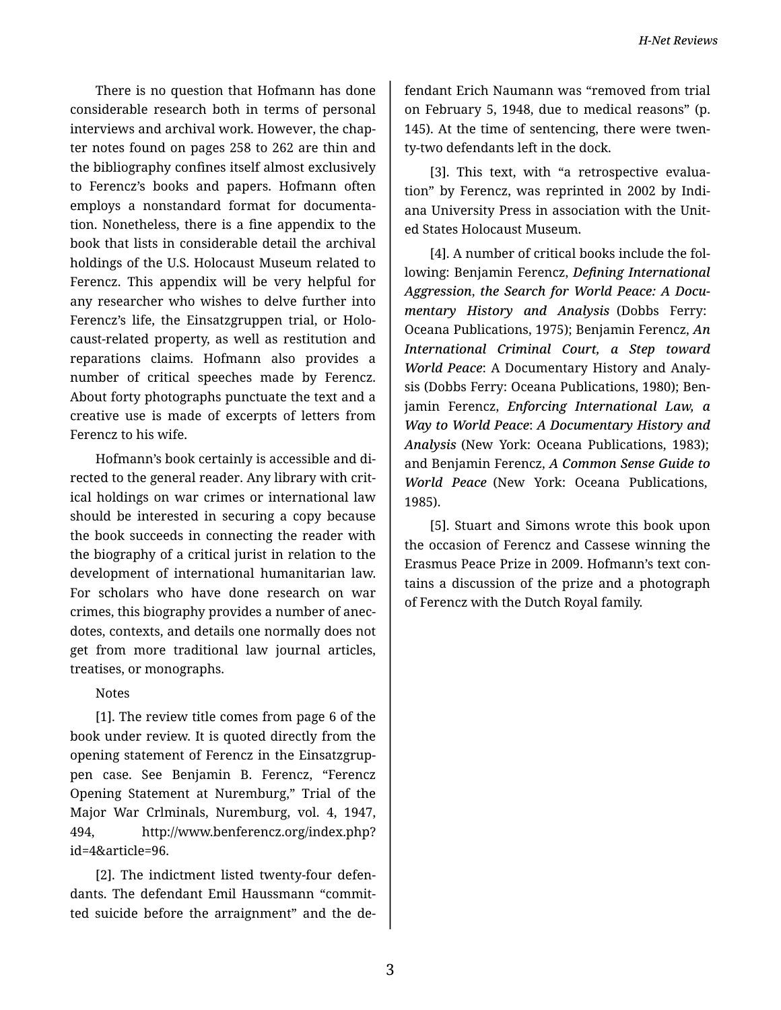There is no question that Hofmann has done considerable research both in terms of personal interviews and archival work. However, the chap‐ ter notes found on pages 258 to 262 are thin and the bibliography confines itself almost exclusively to Ferencz's books and papers. Hofmann often employs a nonstandard format for documenta‐ tion. Nonetheless, there is a fine appendix to the book that lists in considerable detail the archival holdings of the U.S. Holocaust Museum related to Ferencz. This appendix will be very helpful for any researcher who wishes to delve further into Ferencz's life, the Einsatzgruppen trial, or Holo‐ caust-related property, as well as restitution and reparations claims. Hofmann also provides a number of critical speeches made by Ferencz. About forty photographs punctuate the text and a creative use is made of excerpts of letters from Ferencz to his wife.

Hofmann's book certainly is accessible and di‐ rected to the general reader. Any library with crit‐ ical holdings on war crimes or international law should be interested in securing a copy because the book succeeds in connecting the reader with the biography of a critical jurist in relation to the development of international humanitarian law. For scholars who have done research on war crimes, this biography provides a number of anec‐ dotes, contexts, and details one normally does not get from more traditional law journal articles, treatises, or monographs.

## Notes

[1]. The review title comes from page 6 of the book under review. It is quoted directly from the opening statement of Ferencz in the Einsatzgrup‐ pen case. See Benjamin B. Ferencz, "Ferencz Opening Statement at Nuremburg," Trial of the Major War Crlminals, Nuremburg, vol. 4, 1947, 494, http://www.benferencz.org/index.php? id=4&article=96.

[2]. The indictment listed twenty-four defen‐ dants. The defendant Emil Haussmann "commit‐ ted suicide before the arraignment" and the de‐ fendant Erich Naumann was "removed from trial on February 5, 1948, due to medical reasons" (p. 145). At the time of sentencing, there were twen‐ ty-two defendants left in the dock.

[3]. This text, with "a retrospective evalua‐ tion" by Ferencz, was reprinted in 2002 by Indi‐ ana University Press in association with the Unit‐ ed States Holocaust Museum.

[4]. A number of critical books include the fol‐ lowing: Benjamin Ferencz, *Defining International Aggression*, *the Search for World Peace: A Docu‐ mentary History and Analysis* (Dobbs Ferry: Oceana Publications, 1975); Benjamin Ferencz, *An International Criminal Court, a Step toward World Peace*: A Documentary History and Analy‐ sis (Dobbs Ferry: Oceana Publications, 1980); Ben‐ jamin Ferencz, *Enforcing International Law, a Way to World Peace*: *A Documentary History and Analysis* (New York: Oceana Publications, 1983); and Benjamin Ferencz, *A Common Sense Guide to World Peace* (New York: Oceana Publications, 1985).

[5]. Stuart and Simons wrote this book upon the occasion of Ferencz and Cassese winning the Erasmus Peace Prize in 2009. Hofmann's text con‐ tains a discussion of the prize and a photograph of Ferencz with the Dutch Royal family.